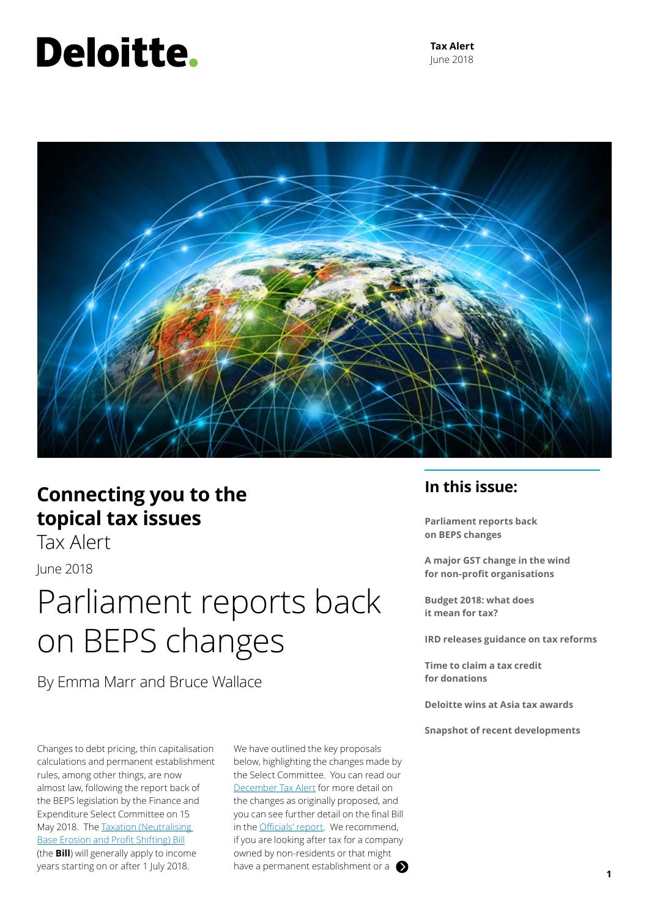# Deloitte.

**Tax Alert** June 2018



### **Connecting you to the topical tax issues**

Tax Alert

June 2018

### Parliament reports back on BEPS changes

By Emma Marr and Bruce Wallace

Changes to debt pricing, thin capitalisation calculations and permanent establishment rules, among other things, are now almost law, following the report back of the BEPS legislation by the Finance and Expenditure Select Committee on 15 May 2018. The [Taxation \(Neutralising](http://www.legislation.govt.nz/bill/government/2017/0003/latest/DLM7505806.html)  [Base Erosion and Profit Shifting\) Bill](http://www.legislation.govt.nz/bill/government/2017/0003/latest/DLM7505806.html) (the **Bill**) will generally apply to income years starting on or after 1 July 2018.

We have outlined the key proposals below, highlighting the changes made by the Select Committee. You can read our [December Tax Alert](https://www2.deloitte.com/nz/en/pages/tax-alerts/articles/beps-proposals-before-nz-parliament.html) for more detail on the changes as originally proposed, and you can see further detail on the final Bill in the [Officials' report](http://taxpolicy.ird.govt.nz/sites/default/files/2018-or-nbeps-bill.pdf). We recommend, if you are looking after tax for a company owned by non-residents or that might have a permanent establishment or a **1** 

### **In this issue:**

**Parliament reports back on BEPS changes**

**A major GST change in the wind for non-profit organisations**

**Budget 2018: what does it mean for tax?**

**IRD releases guidance on tax reforms** 

**Time to claim a tax credit for donations**

**Deloitte wins at Asia tax awards**

**Snapshot of recent developments**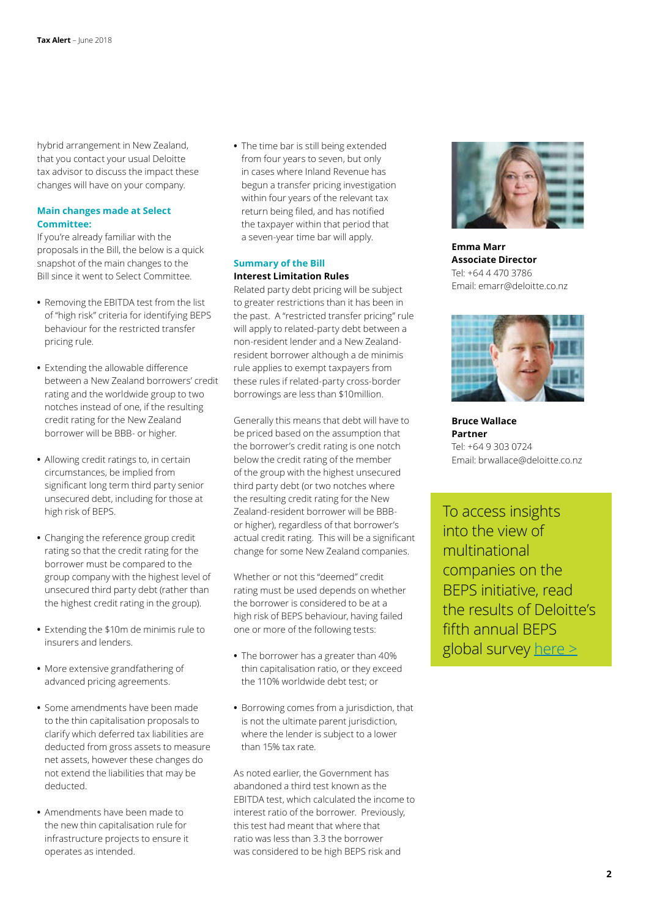hybrid arrangement in New Zealand, that you contact your usual Deloitte tax advisor to discuss the impact these changes will have on your company.

### **Main changes made at Select Committee:**

If you're already familiar with the proposals in the Bill, the below is a quick snapshot of the main changes to the Bill since it went to Select Committee.

- **•** Removing the EBITDA test from the list of "high risk" criteria for identifying BEPS behaviour for the restricted transfer pricing rule.
- **•** Extending the allowable difference between a New Zealand borrowers' credit rating and the worldwide group to two notches instead of one, if the resulting credit rating for the New Zealand borrower will be BBB- or higher.
- **•** Allowing credit ratings to, in certain circumstances, be implied from significant long term third party senior unsecured debt, including for those at high risk of BEPS.
- **•** Changing the reference group credit rating so that the credit rating for the borrower must be compared to the group company with the highest level of unsecured third party debt (rather than the highest credit rating in the group).
- **•** Extending the \$10m de minimis rule to insurers and lenders.
- **•** More extensive grandfathering of advanced pricing agreements.
- **•** Some amendments have been made to the thin capitalisation proposals to clarify which deferred tax liabilities are deducted from gross assets to measure net assets, however these changes do not extend the liabilities that may be deducted.
- **•** Amendments have been made to the new thin capitalisation rule for infrastructure projects to ensure it operates as intended.

**•** The time bar is still being extended from four years to seven, but only in cases where Inland Revenue has begun a transfer pricing investigation within four years of the relevant tax return being filed, and has notified the taxpayer within that period that a seven-year time bar will apply.

### **Summary of the Bill Interest Limitation Rules**

Related party debt pricing will be subject to greater restrictions than it has been in the past. A "restricted transfer pricing" rule will apply to related-party debt between a non-resident lender and a New Zealandresident borrower although a de minimis rule applies to exempt taxpayers from these rules if related-party cross-border borrowings are less than \$10million.

Generally this means that debt will have to be priced based on the assumption that the borrower's credit rating is one notch below the credit rating of the member of the group with the highest unsecured third party debt (or two notches where the resulting credit rating for the New Zealand-resident borrower will be BBBor higher), regardless of that borrower's actual credit rating. This will be a significant change for some New Zealand companies.

Whether or not this "deemed" credit rating must be used depends on whether the borrower is considered to be at a high risk of BEPS behaviour, having failed one or more of the following tests:

- **•** The borrower has a greater than 40% thin capitalisation ratio, or they exceed the 110% worldwide debt test; or
- **•** Borrowing comes from a jurisdiction, that is not the ultimate parent jurisdiction, where the lender is subject to a lower than 15% tax rate.

As noted earlier, the Government has abandoned a third test known as the EBITDA test, which calculated the income to interest ratio of the borrower. Previously, this test had meant that where that ratio was less than 3.3 the borrower was considered to be high BEPS risk and



**Emma Marr Associate Director** Tel: +64 4 470 3786 Email: emarr@deloitte.co.nz



**Bruce Wallace Partner** Tel: +64 9 303 0724 Email: brwallace@deloitte.co.nz

To access insights into the view of multinational companies on the BEPS initiative, read the results of Deloitte's fifth annual BEPS global survey [here >](https://www2.deloitte.com/global/en/pages/tax/articles/beps-global-survey.html)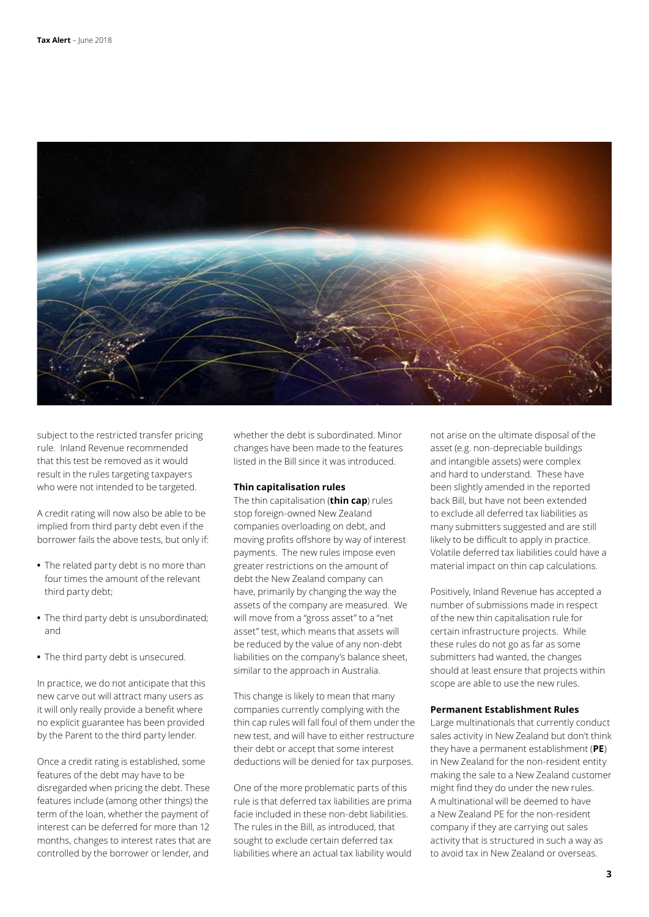

subject to the restricted transfer pricing rule. Inland Revenue recommended that this test be removed as it would result in the rules targeting taxpayers who were not intended to be targeted.

A credit rating will now also be able to be implied from third party debt even if the borrower fails the above tests, but only if:

- **•** The related party debt is no more than four times the amount of the relevant third party debt;
- **•** The third party debt is unsubordinated; and
- **•** The third party debt is unsecured.

In practice, we do not anticipate that this new carve out will attract many users as it will only really provide a benefit where no explicit guarantee has been provided by the Parent to the third party lender.

Once a credit rating is established, some features of the debt may have to be disregarded when pricing the debt. These features include (among other things) the term of the loan, whether the payment of interest can be deferred for more than 12 months, changes to interest rates that are controlled by the borrower or lender, and

whether the debt is subordinated. Minor changes have been made to the features listed in the Bill since it was introduced.

### **Thin capitalisation rules**

The thin capitalisation (**thin cap**) rules stop foreign-owned New Zealand companies overloading on debt, and moving profits offshore by way of interest payments. The new rules impose even greater restrictions on the amount of debt the New Zealand company can have, primarily by changing the way the assets of the company are measured. We will move from a "gross asset" to a "net asset" test, which means that assets will be reduced by the value of any non-debt liabilities on the company's balance sheet, similar to the approach in Australia.

This change is likely to mean that many companies currently complying with the thin cap rules will fall foul of them under the new test, and will have to either restructure their debt or accept that some interest deductions will be denied for tax purposes.

One of the more problematic parts of this rule is that deferred tax liabilities are prima facie included in these non-debt liabilities. The rules in the Bill, as introduced, that sought to exclude certain deferred tax liabilities where an actual tax liability would not arise on the ultimate disposal of the asset (e.g. non-depreciable buildings and intangible assets) were complex and hard to understand. These have been slightly amended in the reported back Bill, but have not been extended to exclude all deferred tax liabilities as many submitters suggested and are still likely to be difficult to apply in practice. Volatile deferred tax liabilities could have a material impact on thin cap calculations.

Positively, Inland Revenue has accepted a number of submissions made in respect of the new thin capitalisation rule for certain infrastructure projects. While these rules do not go as far as some submitters had wanted, the changes should at least ensure that projects within scope are able to use the new rules.

### **Permanent Establishment Rules**

Large multinationals that currently conduct sales activity in New Zealand but don't think they have a permanent establishment (**PE**) in New Zealand for the non-resident entity making the sale to a New Zealand customer might find they do under the new rules. A multinational will be deemed to have a New Zealand PE for the non-resident company if they are carrying out sales activity that is structured in such a way as to avoid tax in New Zealand or overseas.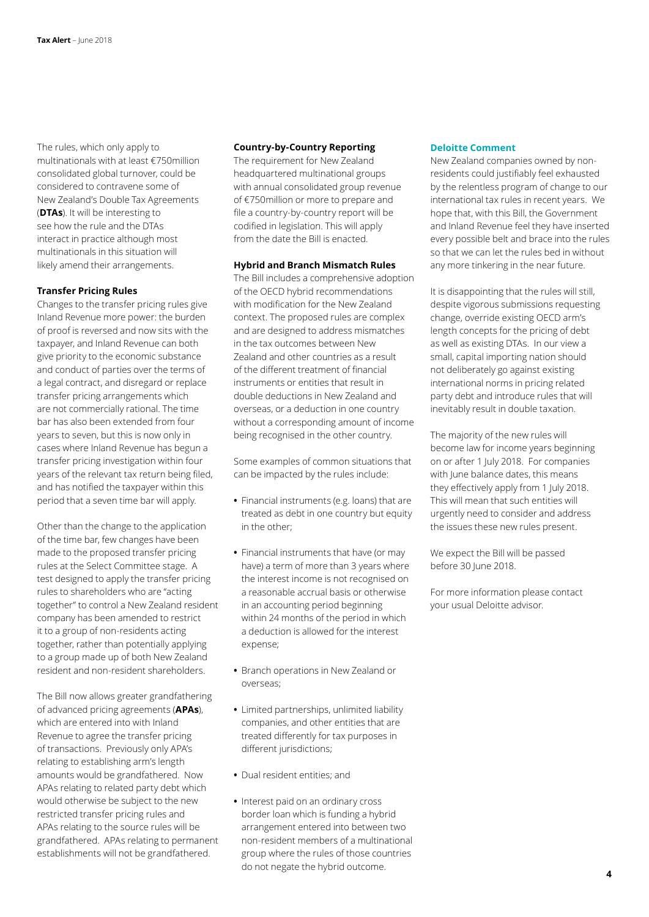The rules, which only apply to multinationals with at least €750million consolidated global turnover, could be considered to contravene some of New Zealand's Double Tax Agreements (**DTAs**). It will be interesting to see how the rule and the DTAs interact in practice although most multinationals in this situation will likely amend their arrangements.

### **Transfer Pricing Rules**

Changes to the transfer pricing rules give Inland Revenue more power: the burden of proof is reversed and now sits with the taxpayer, and Inland Revenue can both give priority to the economic substance and conduct of parties over the terms of a legal contract, and disregard or replace transfer pricing arrangements which are not commercially rational. The time bar has also been extended from four years to seven, but this is now only in cases where Inland Revenue has begun a transfer pricing investigation within four years of the relevant tax return being filed, and has notified the taxpayer within this period that a seven time bar will apply.

Other than the change to the application of the time bar, few changes have been made to the proposed transfer pricing rules at the Select Committee stage. A test designed to apply the transfer pricing rules to shareholders who are "acting together" to control a New Zealand resident company has been amended to restrict it to a group of non-residents acting together, rather than potentially applying to a group made up of both New Zealand resident and non-resident shareholders.

The Bill now allows greater grandfathering of advanced pricing agreements (**APAs**), which are entered into with Inland Revenue to agree the transfer pricing of transactions. Previously only APA's relating to establishing arm's length amounts would be grandfathered. Now APAs relating to related party debt which would otherwise be subject to the new restricted transfer pricing rules and APAs relating to the source rules will be grandfathered. APAs relating to permanent establishments will not be grandfathered.

### **Country-by-Country Reporting**

The requirement for New Zealand headquartered multinational groups with annual consolidated group revenue of €750million or more to prepare and file a country-by-country report will be codified in legislation. This will apply from the date the Bill is enacted.

#### **Hybrid and Branch Mismatch Rules**

The Bill includes a comprehensive adoption of the OECD hybrid recommendations with modification for the New Zealand context. The proposed rules are complex and are designed to address mismatches in the tax outcomes between New Zealand and other countries as a result of the different treatment of financial instruments or entities that result in double deductions in New Zealand and overseas, or a deduction in one country without a corresponding amount of income being recognised in the other country.

Some examples of common situations that can be impacted by the rules include:

- **•** Financial instruments (e.g. loans) that are treated as debt in one country but equity in the other;
- **•** Financial instruments that have (or may have) a term of more than 3 years where the interest income is not recognised on a reasonable accrual basis or otherwise in an accounting period beginning within 24 months of the period in which a deduction is allowed for the interest expense;
- **•** Branch operations in New Zealand or overseas;
- **•** Limited partnerships, unlimited liability companies, and other entities that are treated differently for tax purposes in different jurisdictions;
- **•** Dual resident entities; and
- **•** Interest paid on an ordinary cross border loan which is funding a hybrid arrangement entered into between two non-resident members of a multinational group where the rules of those countries do not negate the hybrid outcome.

### **Deloitte Comment**

New Zealand companies owned by nonresidents could justifiably feel exhausted by the relentless program of change to our international tax rules in recent years. We hope that, with this Bill, the Government and Inland Revenue feel they have inserted every possible belt and brace into the rules so that we can let the rules bed in without any more tinkering in the near future.

It is disappointing that the rules will still, despite vigorous submissions requesting change, override existing OECD arm's length concepts for the pricing of debt as well as existing DTAs. In our view a small, capital importing nation should not deliberately go against existing international norms in pricing related party debt and introduce rules that will inevitably result in double taxation.

The majority of the new rules will become law for income years beginning on or after 1 July 2018. For companies with June balance dates, this means they effectively apply from 1 July 2018. This will mean that such entities will urgently need to consider and address the issues these new rules present.

We expect the Bill will be passed before 30 June 2018.

For more information please contact your usual Deloitte advisor.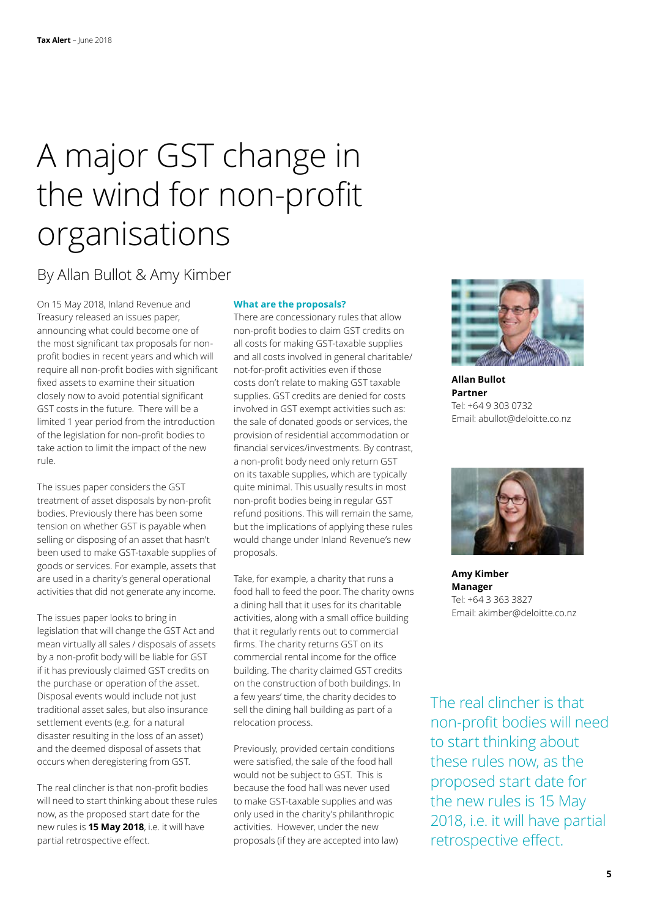# A major GST change in the wind for non-profit organisations

### By Allan Bullot & Amy Kimber

On 15 May 2018, Inland Revenue and Treasury released an issues paper, announcing what could become one of the most significant tax proposals for nonprofit bodies in recent years and which will require all non-profit bodies with significant fixed assets to examine their situation closely now to avoid potential significant GST costs in the future. There will be a limited 1 year period from the introduction of the legislation for non-profit bodies to take action to limit the impact of the new rule.

The issues paper considers the GST treatment of asset disposals by non-profit bodies. Previously there has been some tension on whether GST is payable when selling or disposing of an asset that hasn't been used to make GST-taxable supplies of goods or services. For example, assets that are used in a charity's general operational activities that did not generate any income.

The issues paper looks to bring in legislation that will change the GST Act and mean virtually all sales / disposals of assets by a non-profit body will be liable for GST if it has previously claimed GST credits on the purchase or operation of the asset. Disposal events would include not just traditional asset sales, but also insurance settlement events (e.g. for a natural disaster resulting in the loss of an asset) and the deemed disposal of assets that occurs when deregistering from GST.

The real clincher is that non-profit bodies will need to start thinking about these rules now, as the proposed start date for the new rules is **15 May 2018**, i.e. it will have partial retrospective effect.

### **What are the proposals?**

There are concessionary rules that allow non-profit bodies to claim GST credits on all costs for making GST-taxable supplies and all costs involved in general charitable/ not-for-profit activities even if those costs don't relate to making GST taxable supplies. GST credits are denied for costs involved in GST exempt activities such as: the sale of donated goods or services, the provision of residential accommodation or financial services/investments. By contrast, a non-profit body need only return GST on its taxable supplies, which are typically quite minimal. This usually results in most non-profit bodies being in regular GST refund positions. This will remain the same, but the implications of applying these rules would change under Inland Revenue's new proposals.

Take, for example, a charity that runs a food hall to feed the poor. The charity owns a dining hall that it uses for its charitable activities, along with a small office building that it regularly rents out to commercial firms. The charity returns GST on its commercial rental income for the office building. The charity claimed GST credits on the construction of both buildings. In a few years' time, the charity decides to sell the dining hall building as part of a relocation process.

Previously, provided certain conditions were satisfied, the sale of the food hall would not be subject to GST. This is because the food hall was never used to make GST-taxable supplies and was only used in the charity's philanthropic activities. However, under the new proposals (if they are accepted into law)



**Allan Bullot Partner** Tel: +64 9 303 0732 Email: abullot@deloitte.co.nz



**Amy Kimber Manager** Tel: +64 3 363 3827 Email: akimber@deloitte.co.nz

The real clincher is that non-profit bodies will need to start thinking about these rules now, as the proposed start date for the new rules is 15 May 2018, i.e. it will have partial retrospective effect.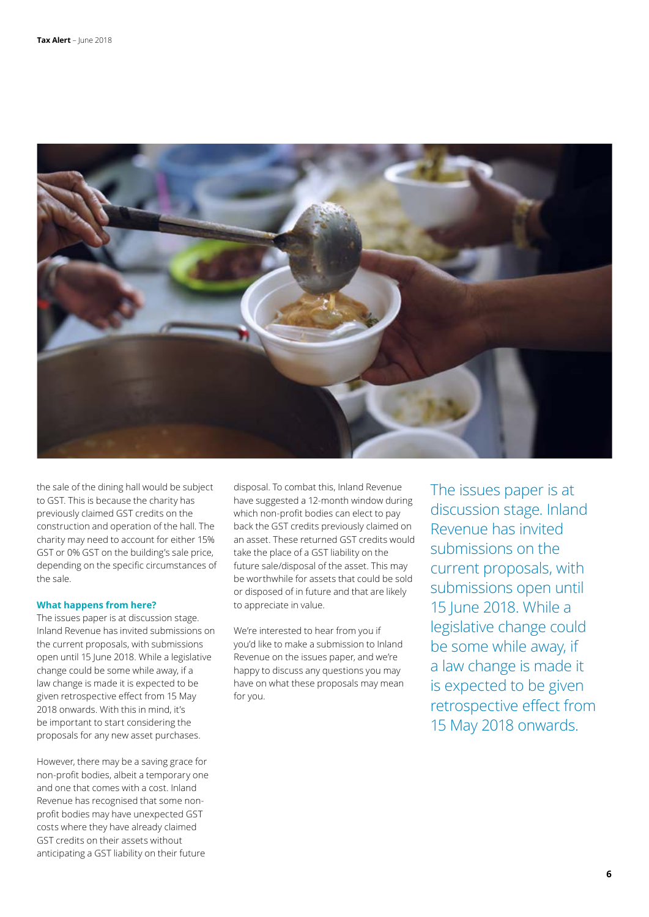

the sale of the dining hall would be subject to GST. This is because the charity has previously claimed GST credits on the construction and operation of the hall. The charity may need to account for either 15% GST or 0% GST on the building's sale price, depending on the specific circumstances of the sale.

#### **What happens from here?**

The issues paper is at discussion stage. Inland Revenue has invited submissions on the current proposals, with submissions open until 15 June 2018. While a legislative change could be some while away, if a law change is made it is expected to be given retrospective effect from 15 May 2018 onwards. With this in mind, it's be important to start considering the proposals for any new asset purchases.

However, there may be a saving grace for non-profit bodies, albeit a temporary one and one that comes with a cost. Inland Revenue has recognised that some nonprofit bodies may have unexpected GST costs where they have already claimed GST credits on their assets without anticipating a GST liability on their future

disposal. To combat this, Inland Revenue have suggested a 12-month window during which non-profit bodies can elect to pay back the GST credits previously claimed on an asset. These returned GST credits would take the place of a GST liability on the future sale/disposal of the asset. This may be worthwhile for assets that could be sold or disposed of in future and that are likely to appreciate in value.

We're interested to hear from you if you'd like to make a submission to Inland Revenue on the issues paper, and we're happy to discuss any questions you may have on what these proposals may mean for you.

The issues paper is at discussion stage. Inland Revenue has invited submissions on the current proposals, with submissions open until 15 June 2018. While a legislative change could be some while away, if a law change is made it is expected to be given retrospective effect from 15 May 2018 onwards.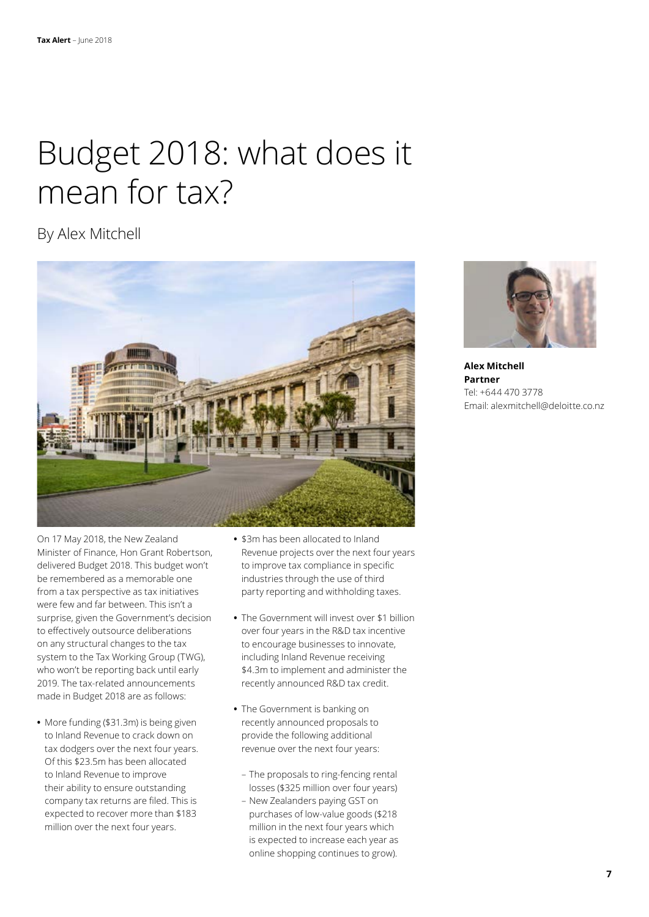# Budget 2018: what does it mean for tax?

### By Alex Mitchell



On 17 May 2018, the New Zealand Minister of Finance, Hon Grant Robertson, delivered Budget 2018. This budget won't be remembered as a memorable one from a tax perspective as tax initiatives were few and far between. This isn't a surprise, given the Government's decision to effectively outsource deliberations on any structural changes to the tax system to the Tax Working Group (TWG), who won't be reporting back until early 2019. The tax-related announcements made in Budget 2018 are as follows:

**•** More funding (\$31.3m) is being given to Inland Revenue to crack down on tax dodgers over the next four years. Of this \$23.5m has been allocated to Inland Revenue to improve their ability to ensure outstanding company tax returns are filed. This is expected to recover more than \$183 million over the next four years.

- **•** \$3m has been allocated to Inland Revenue projects over the next four years to improve tax compliance in specific industries through the use of third party reporting and withholding taxes.
- **•** The Government will invest over \$1 billion over four years in the R&D tax incentive to encourage businesses to innovate, including Inland Revenue receiving \$4.3m to implement and administer the recently announced R&D tax credit.
- **•** The Government is banking on recently announced proposals to provide the following additional revenue over the next four years:
- The proposals to ring-fencing rental losses (\$325 million over four years)
- New Zealanders paying GST on purchases of low-value goods (\$218 million in the next four years which is expected to increase each year as online shopping continues to grow).



**Alex Mitchell Partner** Tel: +644 470 3778 Email: alexmitchell@deloitte.co.nz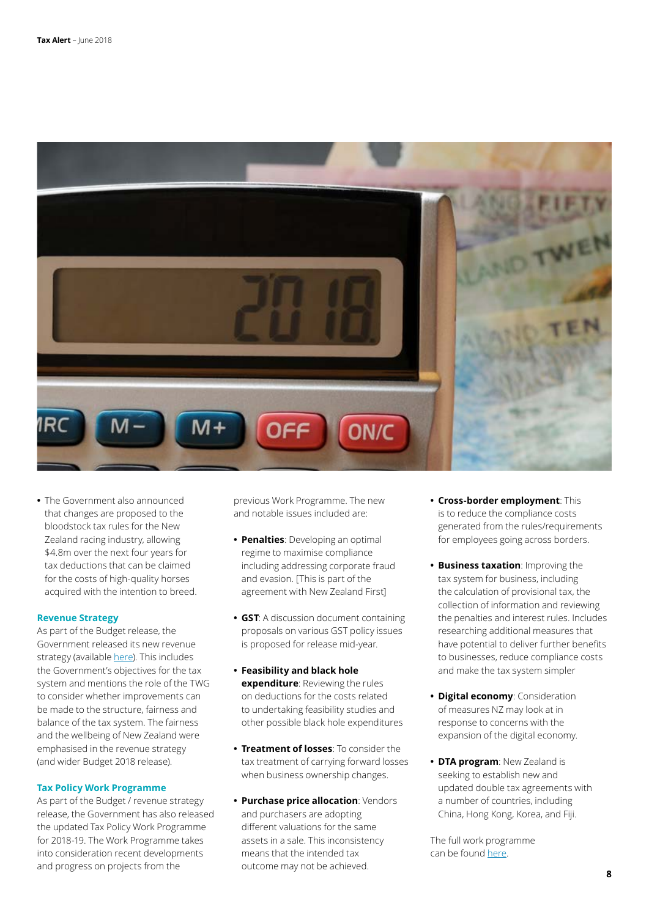

**•** The Government also announced that changes are proposed to the bloodstock tax rules for the New Zealand racing industry, allowing \$4.8m over the next four years for tax deductions that can be claimed for the costs of high-quality horses acquired with the intention to breed.

#### **Revenue Strategy**

As part of the Budget release, the Government released its new revenue strategy (available [here](https://treasury.govt.nz/publications/fiscal-strategy-report/fiscal-strategy-report-2018-html#child-19)). This includes the Government's objectives for the tax system and mentions the role of the TWG to consider whether improvements can be made to the structure, fairness and balance of the tax system. The fairness and the wellbeing of New Zealand were emphasised in the revenue strategy (and wider Budget 2018 release).

#### **Tax Policy Work Programme**

As part of the Budget / revenue strategy release, the Government has also released the updated Tax Policy Work Programme for 2018-19. The Work Programme takes into consideration recent developments and progress on projects from the

previous Work Programme. The new and notable issues included are:

- **• Penalties**: Developing an optimal regime to maximise compliance including addressing corporate fraud and evasion. [This is part of the agreement with New Zealand First]
- **• GST**: A discussion document containing proposals on various GST policy issues is proposed for release mid-year.
- **• Feasibility and black hole expenditure**: Reviewing the rules on deductions for the costs related to undertaking feasibility studies and other possible black hole expenditures
- **• Treatment of losses**: To consider the tax treatment of carrying forward losses when business ownership changes.
- **• Purchase price allocation**: Vendors and purchasers are adopting different valuations for the same assets in a sale. This inconsistency means that the intended tax outcome may not be achieved.
- **• Cross-border employment**: This is to reduce the compliance costs generated from the rules/requirements for employees going across borders.
- **• Business taxation**: Improving the tax system for business, including the calculation of provisional tax, the collection of information and reviewing the penalties and interest rules. Includes researching additional measures that have potential to deliver further benefits to businesses, reduce compliance costs and make the tax system simpler
- **• Digital economy**: Consideration of measures NZ may look at in response to concerns with the expansion of the digital economy.
- **• DTA program**: New Zealand is seeking to establish new and updated double tax agreements with a number of countries, including China, Hong Kong, Korea, and Fiji.

The full work programme can be found [here.](https://taxpolicy.ird.govt.nz/work-programme)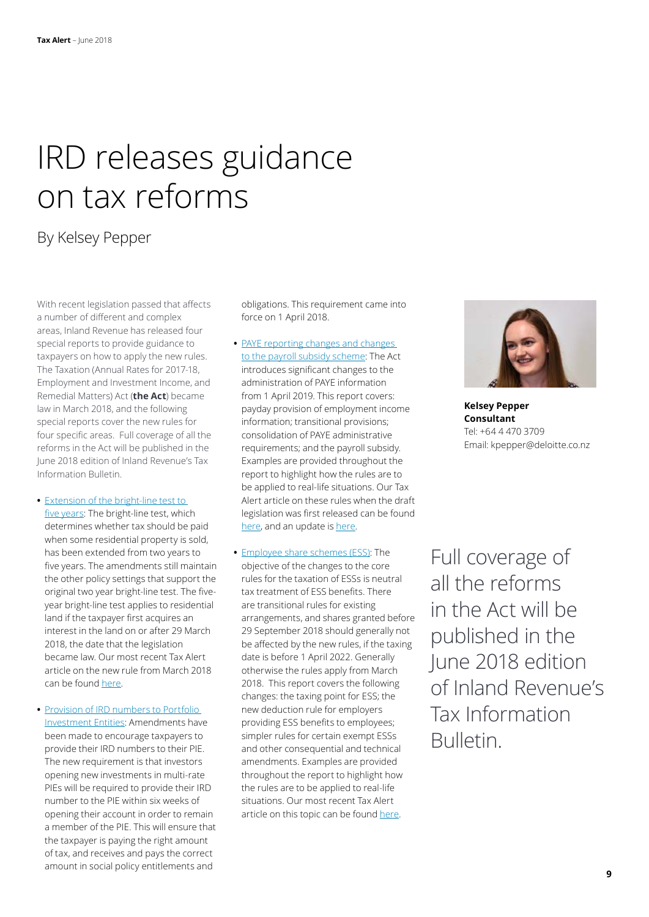### IRD releases guidance on tax reforms

### By Kelsey Pepper

With recent legislation passed that affects a number of different and complex areas, Inland Revenue has released four special reports to provide guidance to taxpayers on how to apply the new rules. The Taxation (Annual Rates for 2017-18, Employment and Investment Income, and Remedial Matters) Act (**the Act**) became law in March 2018, and the following special reports cover the new rules for four specific areas. Full coverage of all the reforms in the Act will be published in the June 2018 edition of Inland Revenue's Tax Information Bulletin.

- **•** [Extension of the bright-line test to](http://taxpolicy.ird.govt.nz/publications/2018-sr-bright-line-test-five-years/overview)  [five years](http://taxpolicy.ird.govt.nz/publications/2018-sr-bright-line-test-five-years/overview): The bright-line test, which determines whether tax should be paid when some residential property is sold, has been extended from two years to five years. The amendments still maintain the other policy settings that support the original two year bright-line test. The fiveyear bright-line test applies to residential land if the taxpayer first acquires an interest in the land on or after 29 March 2018, the date that the legislation became law. Our most recent Tax Alert article on the new rule from March 2018 can be found [here.](https://www2.deloitte.com/nz/en/pages/tax-alerts/articles/extension-of-bright-line-test-to-five-years.html)
- **•** [Provision of IRD numbers to Portfolio](http://taxpolicy.ird.govt.nz/publications/2018-sr-ird-numbers-pies/overview)  [Investment Entities](http://taxpolicy.ird.govt.nz/publications/2018-sr-ird-numbers-pies/overview): Amendments have been made to encourage taxpayers to provide their IRD numbers to their PIE. The new requirement is that investors opening new investments in multi-rate PIEs will be required to provide their IRD number to the PIE within six weeks of opening their account in order to remain a member of the PIE. This will ensure that the taxpayer is paying the right amount of tax, and receives and pays the correct amount in social policy entitlements and

obligations. This requirement came into force on 1 April 2018.

- **•** [PAYE reporting changes and changes](http://taxpolicy.ird.govt.nz/publications/2018-sr-paye-reporting-changes/overview)  [to the payroll subsidy scheme:](http://taxpolicy.ird.govt.nz/publications/2018-sr-paye-reporting-changes/overview) The Act introduces significant changes to the administration of PAYE information from 1 April 2019. This report covers: payday provision of employment income information; transitional provisions; consolidation of PAYE administrative requirements; and the payroll subsidy. Examples are provided throughout the report to highlight how the rules are to be applied to real-life situations. Our Tax Alert article on these rules when the draft legislation was first released can be found [here](https://www2.deloitte.com/nz/en/pages/tax-alerts/articles/business-transformation-steamrolls-on.html), and an update is [here.](https://www2.deloitte.com/nz/en/pages/tax-alerts/articles/april-bill-moves-towards-enactment.html)
- **•** [Employee share schemes \(ESS\)](http://taxpolicy.ird.govt.nz/publications/2018-sr-employee-share-schemes/overview): The objective of the changes to the core rules for the taxation of ESSs is neutral tax treatment of ESS benefits. There are transitional rules for existing arrangements, and shares granted before 29 September 2018 should generally not be affected by the new rules, if the taxing date is before 1 April 2022. Generally otherwise the rules apply from March 2018. This report covers the following changes: the taxing point for ESS; the new deduction rule for employers providing ESS benefits to employees; simpler rules for certain exempt ESSs and other consequential and technical amendments. Examples are provided throughout the report to highlight how the rules are to be applied to real-life situations. Our most recent Tax Alert article on this topic can be found [here](https://www2.deloitte.com/nz/en/pages/tax-alerts/articles/employee-share-schemes-its-time-to-act.html).



**Kelsey Pepper Consultant** Tel: +64 4 470 3709 Email: kpepper@deloitte.co.nz

Full coverage of all the reforms in the Act will be published in the June 2018 edition of Inland Revenue's Tax Information Bulletin.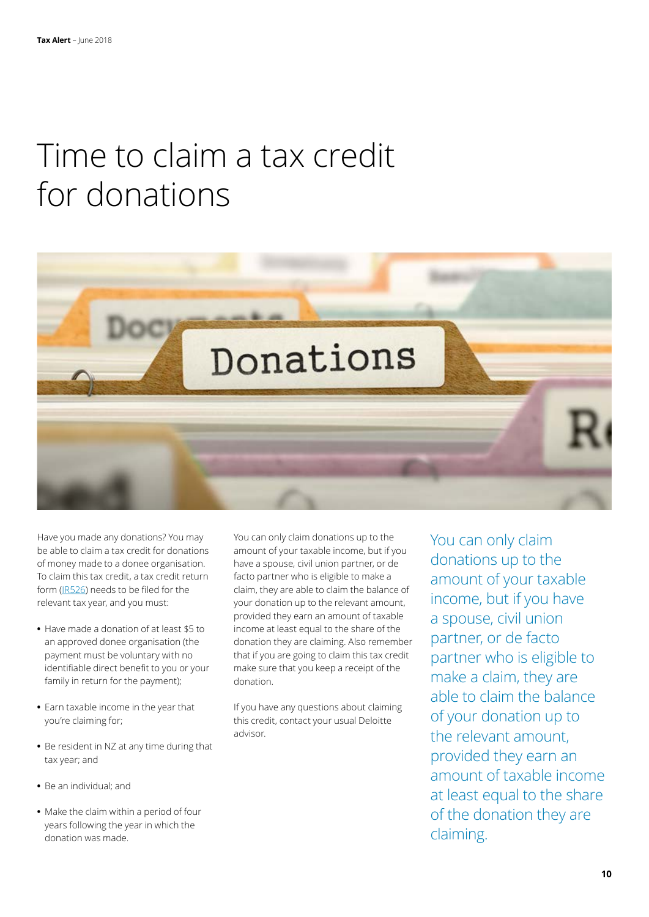### Time to claim a tax credit for donations



Have you made any donations? You may be able to claim a tax credit for donations of money made to a donee organisation. To claim this tax credit, a tax credit return form ([IR526](https://www.ird.govt.nz/resources/4/f/4ff6f750-21b4-48e6-b8f0-d309cf56bbba/ir526.pdf)) needs to be filed for the relevant tax year, and you must:

- **•** Have made a donation of at least \$5 to an approved donee organisation (the payment must be voluntary with no identifiable direct benefit to you or your family in return for the payment);
- **•** Earn taxable income in the year that you're claiming for;
- **•** Be resident in NZ at any time during that tax year; and
- **•** Be an individual; and
- **•** Make the claim within a period of four years following the year in which the donation was made.

You can only claim donations up to the amount of your taxable income, but if you have a spouse, civil union partner, or de facto partner who is eligible to make a claim, they are able to claim the balance of your donation up to the relevant amount, provided they earn an amount of taxable income at least equal to the share of the donation they are claiming. Also remember that if you are going to claim this tax credit make sure that you keep a receipt of the donation.

If you have any questions about claiming this credit, contact your usual Deloitte advisor.

You can only claim donations up to the amount of your taxable income, but if you have a spouse, civil union partner, or de facto partner who is eligible to make a claim, they are able to claim the balance of your donation up to the relevant amount, provided they earn an amount of taxable income at least equal to the share of the donation they are claiming.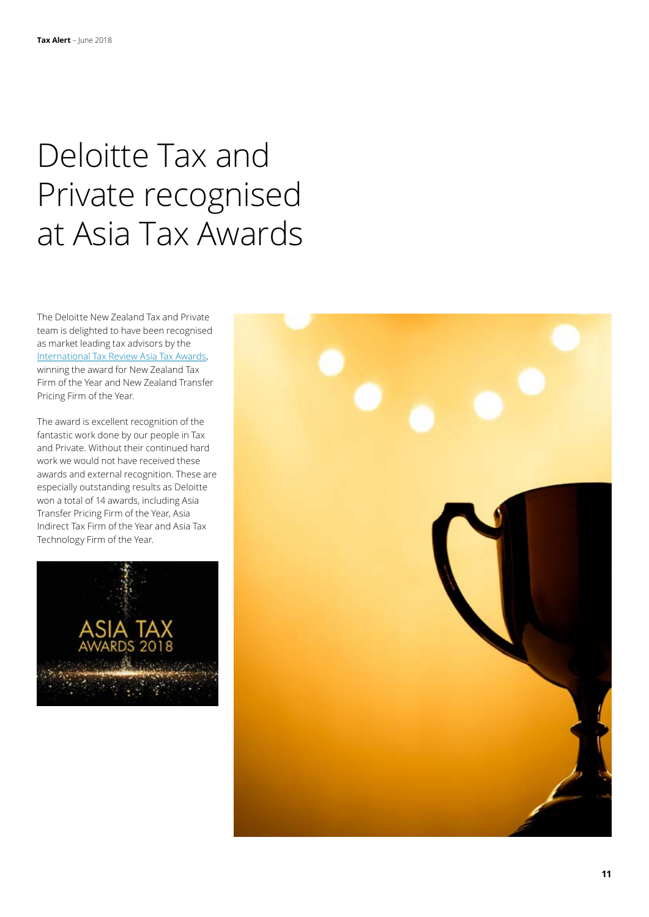# Deloitte Tax and Private recognised at Asia Tax Awards

The Deloitte New Zealand Tax and Private team is delighted to have been recognised as market leading tax advisors by the [International Tax Review Asia Tax Awards](http://www.internationaltaxreview.com/Article/3803898/Asia-Tax-Awards-2018-Winners-announced.html), winning the award for New Zealand Tax Firm of the Year and New Zealand Transfer Pricing Firm of the Year.

The award is excellent recognition of the fantastic work done by our people in Tax and Private. Without their continued hard work we would not have received these awards and external recognition. These are especially outstanding results as Deloitte won a total of 14 awards, including Asia Transfer Pricing Firm of the Year, Asia Indirect Tax Firm of the Year and Asia Tax Technology Firm of the Year.



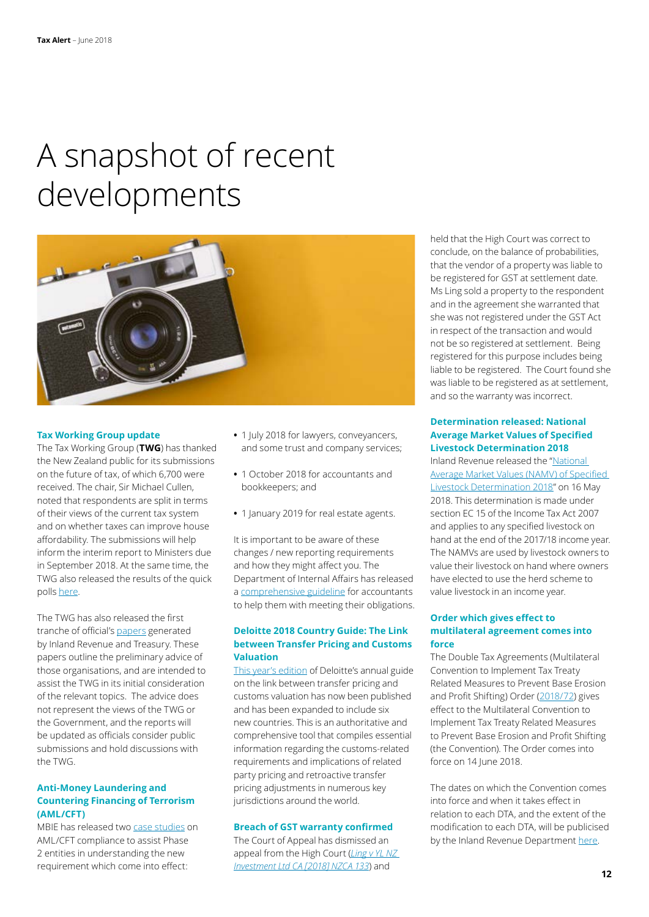# A snapshot of recent developments



#### **Tax Working Group update**

The Tax Working Group (**TWG**) has thanked the New Zealand public for its submissions on the future of tax, of which 6,700 were received. The chair, Sir Michael Cullen, noted that respondents are split in terms of their views of the current tax system and on whether taxes can improve house affordability. The submissions will help inform the interim report to Ministers due in September 2018. At the same time, the TWG also released the results of the quick polls [here.](https://taxworkinggroup.govt.nz/resources/quick-poll-results)

The TWG has also released the first tranche of official's [papers](https://taxworkinggroup.govt.nz/key-documents) generated by Inland Revenue and Treasury. These papers outline the preliminary advice of those organisations, and are intended to assist the TWG in its initial consideration of the relevant topics. The advice does not represent the views of the TWG or the Government, and the reports will be updated as officials consider public submissions and hold discussions with the TWG.

### **Anti-Money Laundering and Countering Financing of Terrorism (AML/CFT)**

MBIE has released two [case studies](https://www.business.govt.nz/news/anti-money-laundering-law-change/) on AML/CFT compliance to assist Phase 2 entities in understanding the new requirement which come into effect:

- **•** 1 July 2018 for lawyers, conveyancers, and some trust and company services;
- **•** 1 October 2018 for accountants and bookkeepers; and
- **•** 1 January 2019 for real estate agents.

It is important to be aware of these changes / new reporting requirements and how they might affect you. The Department of Internal Affairs has released a [comprehensive guideline](https://www.dia.govt.nz/diawebsite.nsf/Files/AccountantsGuidelineFinal/$file/AccountantsGuidelineFinal.pdf) for accountants to help them with meeting their obligations.

### **Deloitte 2018 Country Guide: The Link between Transfer Pricing and Customs Valuation**

[This year's edition](https://www2.deloitte.com/content/dam/Deloitte/global/Documents/Tax/dttl-tax-the-link-between-transfer-pricing-customs-valuation-country-guide.pdf) of Deloitte's annual guide on the link between transfer pricing and customs valuation has now been published and has been expanded to include six new countries. This is an authoritative and comprehensive tool that compiles essential information regarding the customs-related requirements and implications of related party pricing and retroactive transfer pricing adjustments in numerous key jurisdictions around the world.

### **Breach of GST warranty confirmed**

The Court of Appeal has dismissed an appeal from the High Court (*[Ling v YL NZ](http://intelliconnect.wkasiapacific.com/docmedia/attach/WKAP-TAL-DOCS-PHC/67/ntxtnews_58176202.pdf)  [Investment Ltd CA \[2018\] NZCA 133](http://intelliconnect.wkasiapacific.com/docmedia/attach/WKAP-TAL-DOCS-PHC/67/ntxtnews_58176202.pdf)*) and

held that the High Court was correct to conclude, on the balance of probabilities, that the vendor of a property was liable to be registered for GST at settlement date. Ms Ling sold a property to the respondent and in the agreement she warranted that she was not registered under the GST Act in respect of the transaction and would not be so registered at settlement. Being registered for this purpose includes being liable to be registered. The Court found she was liable to be registered as at settlement, and so the warranty was incorrect.

### **Determination released: National Average Market Values of Specified Livestock Determination 2018**

Inland Revenue released the "[National](http://www.ird.govt.nz/technical-tax/determinations/livestock/national-averages/livestock-nationalavemarketvalues-2018.html)  [Average Market Values \(NAMV\) of Specified](http://www.ird.govt.nz/technical-tax/determinations/livestock/national-averages/livestock-nationalavemarketvalues-2018.html)  [Livestock Determination 2018"](http://www.ird.govt.nz/technical-tax/determinations/livestock/national-averages/livestock-nationalavemarketvalues-2018.html) on 16 May 2018. This determination is made under section EC 15 of the Income Tax Act 2007 and applies to any specified livestock on hand at the end of the 2017/18 income year. The NAMVs are used by livestock owners to value their livestock on hand where owners have elected to use the herd scheme to value livestock in an income year.

### **Order which gives effect to multilateral agreement comes into force**

The Double Tax Agreements (Multilateral Convention to Implement Tax Treaty Related Measures to Prevent Base Erosion and Profit Shifting) Order ([2018/72](http://www.legislation.govt.nz/regulation/public/2018/0072/latest/whole.html#LMS26476)) gives effect to the Multilateral Convention to Implement Tax Treaty Related Measures to Prevent Base Erosion and Profit Shifting (the Convention). The Order comes into force on 14 lune 2018.

The dates on which the Convention comes into force and when it takes effect in relation to each DTA, and the extent of the modification to each DTA, will be publicised by the Inland Revenue Department [here](http://www.taxpolicy.ird.govt.nz/tax-treaties).